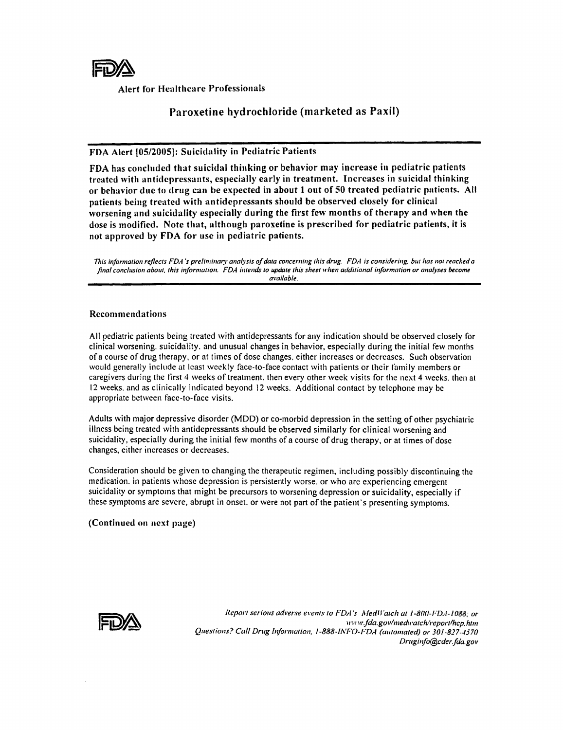

Alert for Healthcare Professionals

## Paroxetine hydrochloride (marketed as Paxil)

### FDA Alert [05/2005]: Suicidality in Pediatric Patients

FDA has concluded that suicidal thinking or behavior may increase in pediatric patients treated with antidepressants, especially early in treatment. Increases in suicidal thinking or behavior due to drug can be expected in about 1 out of 50 treated pediatric patients. All patients being treated with antidepressants should be observed closely for clinical worsening and suicidality especially during the first few months of therapy and when the dose is modified. Note that, although paroxetine is prescribed for pediatric patients, it is not approved by FDA for usc in pediatric patients.

*This information reflects FDA's preliminary analysis of data concerning this drug. FDA is considering, but has not reached a* final conclusion about, this information. FDA intends to update this sheet when additional information or analyses become *available.* 

#### Recommendations

All pediatric patients being treated \vith antidepressants for any indication should be observed closely for clinical worsening, suicidality, and unusual changes in behavior, especially during the initial few months of a course of drug therapy, or at titnes of dose changes. either increases or decreases. Such observation would generally include at least weekly face-to-face contact with patients or their family members or caregivers during the first 4 weeks of treatment, then every other week visits for the next 4 weeks, then at 12 weeks. and as clinically indicated beyond 12 weeks. Additional contact by telephone may be appropriate between face-to-face visits.

Adults with major depressive disorder (MDD) or co-morbid depression in the setting of other psychiatric illness being treated with antidepressants should be observed similarly for clinical worsening and suicidality, especially during the initial few months of a course of drug therapy, or at times of dose changes, either increases or decreases.

Consideration should be given to changing the therapeutic regimen, including possibly discontinuing the medication. in patients whose depression is persistently worse. or who arc experiencing emergent suicidality or symptoms that might be precursors to worsening depression or suicidality, especially if these symptoms are severe, abrupt in onset. or were not part of the patient's presenting symptoms.

(Continued on next page)



Reporl serious *adverse* ere/us 10 *FDA's* AledH'alch at *1-800-';DA-J088;* or  $\iota$ *liviv.fda.gov/medwatch/report/hcp.htm* Questions? Call Drug Information, 1-888-INFO-I<sup>-</sup>DA (automated) or 301-827-4570 *Drllgill[o@cder.[da.gol'*